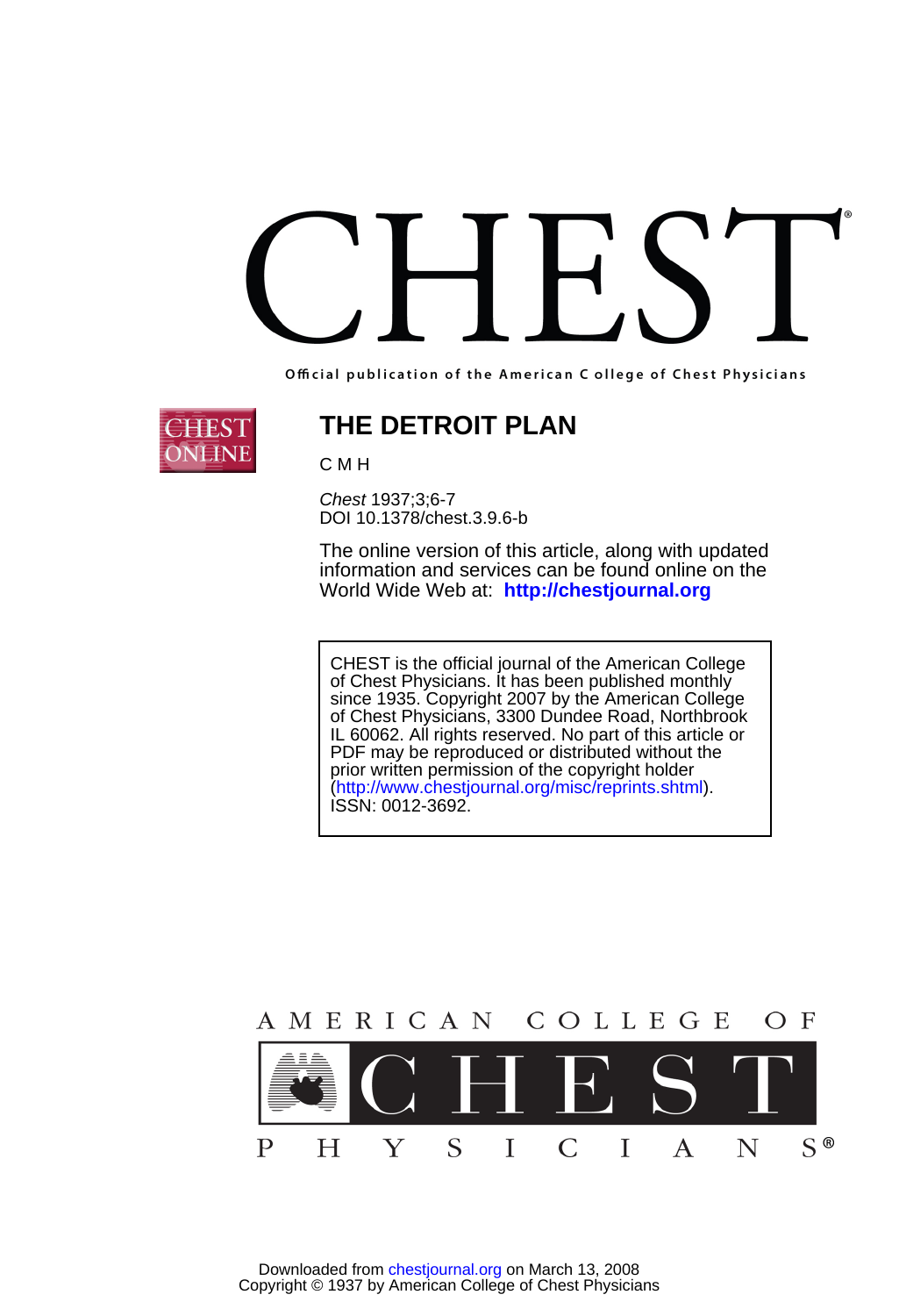Official publication of the American C ollege of Chest Physicians



# **THE DETROIT PLAN**

C M H

DOI 10.1378/chest.3.9.6-b Chest 1937;3;6-7

World Wide Web at: **<http://chestjournal.org>** information and services can be found online on the The online version of this article, along with updated

ISSN: 0012-3692. (http://www.chestjournal.org/misc/reprints.shtml). prior written permission of the copyright holder PDF may be reproduced or distributed without the IL 60062. All rights reserved. No part of this article or of Chest Physicians, 3300 Dundee Road, Northbrook since 1935. Copyright 2007 by the American College of Chest Physicians. It has been published monthly CHEST is the official journal of the American College

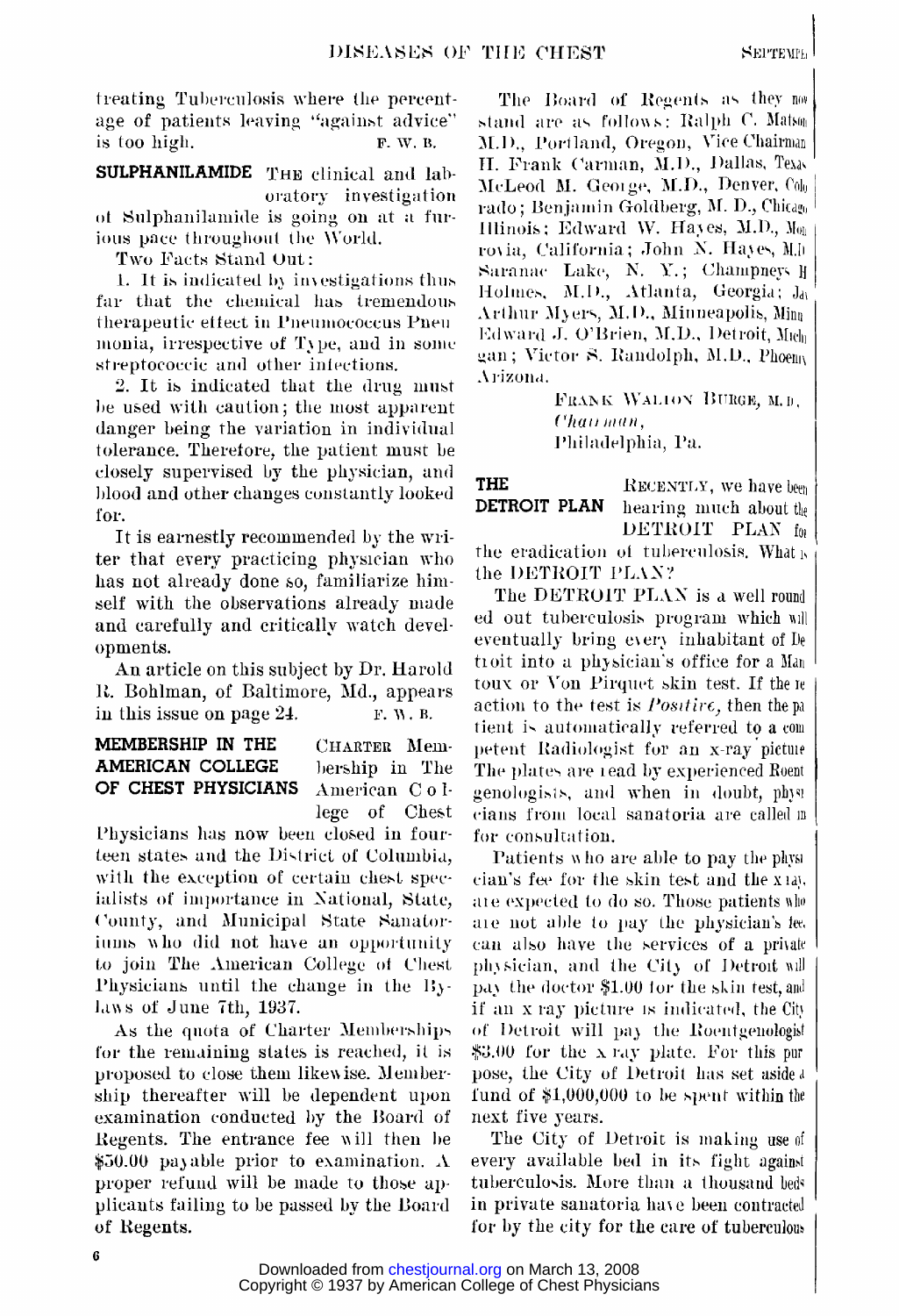treating Tuberculosis where the percentage of patients leaving "against advice" is too high.  $\qquad \qquad \textbf{F. W. B.}$ 

SULPHANILAMIDE The clinical and laboratory investigation of Sulphanilamide is going on at a furious pace throughout the World.

Two Facts Stand Out:

1. It is indicated by investigations thus far that the chemical has tremendous therapeutic effect in Pneumococcus Pneu monia, irrespective of Type, and in some streptococcic and other infections.

2. It is indicated that the drug must be used with caution; the most apparent danger being the variation in individual tolerance. Therefore, the patient must be closely supervised by the physician, and blood and other changes constantlylooked for.

It is earnestly recommended by the writer that every practicing physician who has not already done so, familiarize himself with the observations already made and carefully and critically watch developments.

An article on this subject by Dr. Harold R. Bohlman, of Baltimore, Md., appears in this issue on page  $24.$  F. W.B.

MEMBERSHIP IN THE CHARTER Mem-AMERICAN COLLEGE bership in The OF CHEST PHYSICIANS American Co1-

lege of Chest

Physicians has now been closed in fourteen states and the District of Columbia, with the exception of certain chest specialists of importance in National, State, County, and Municipal State Sanatoriums who did not have an opportunity to join The American College of Chest Physicians until the change in the Bylaws of June 7th, 1937.

As the quota of Charter Memberships for the remaining states is reached, it is proposed to close them likewise. Membership thereafter will be dependent upon examination conducted by the Board of Regents. The entrance fee will then be  $$50.00$  payable prior to examination. A proper refund will be made to those applicants failing to be passed by the Board of Regents.

The Board of Regents as they now stand are as follows: Ralph C. Matron, M.D., Portland, Oregon, Vice-Chairman; 11. Frank Carman, M.D., Dallas, Texas; McLeod M. George, M.D., Denver, Colorado; Benjamin Goldberg, M.D., Chicago Illinois;Edward W. Hayes, M.D., Moj. rovia, California; John N. Hayes, M.I). Saranac Lake, N. Y.; Champneys B. Holmes, M.D., Atlanta, Georgia; Ja Arthur Myers, M.D., Minneapolis, Minn Edward J. O'Brien, M.D., Detroit, Michi gan; Victor S. Randolph, M.D., Phoenix Arizona.

> Frank Walton Burge, m.d., Chairman, Philadelphia, Pa.

**THE** RECENTLY, we have been<br>**DETROIT PLAN** hearing much about the hearing much about the DETROIT PLAN  $f_{0i}$ 

the eradication of tuberculosis. What is the DETROIT PLAN?

The DETROIT PLAN is a well rounded out tuberculosis program which will eventually bring every inhabitant of Detroit into a physician's office for <sup>a</sup> Mantoux or Von Pirquet skin test. If the re action to the test is  $Positive$ , then the patient is automatically referred to <sup>a</sup> competent Radiologist for an x-ray picture, The plates are read by experienced Roentgenologists, and when in doubt, physicians from local sanatoria are called in for consultation.

Patients who are able to pay the physician's fee for the skin test and the xiay, are expected to do so. Those patients who are not able to pay the physician's fee, can also have the services of a private physician, and the City of Detroit will pay the doctor \$1.00 for the skin test,and if an x-ray picture is indicated, the City of Detroit will pay the Roentgenologist \$3.00 for the x-ray plate. For this purpose, the City of Detroit has set aside <sup>a</sup> fund of \$1,000,000 to be spent within the next five years.

The City of Detroit is making use of every available bed in its fight against tuberculosis. More than a thousand beds in private sanatoria have been contracted for by the city for the care of tuberculous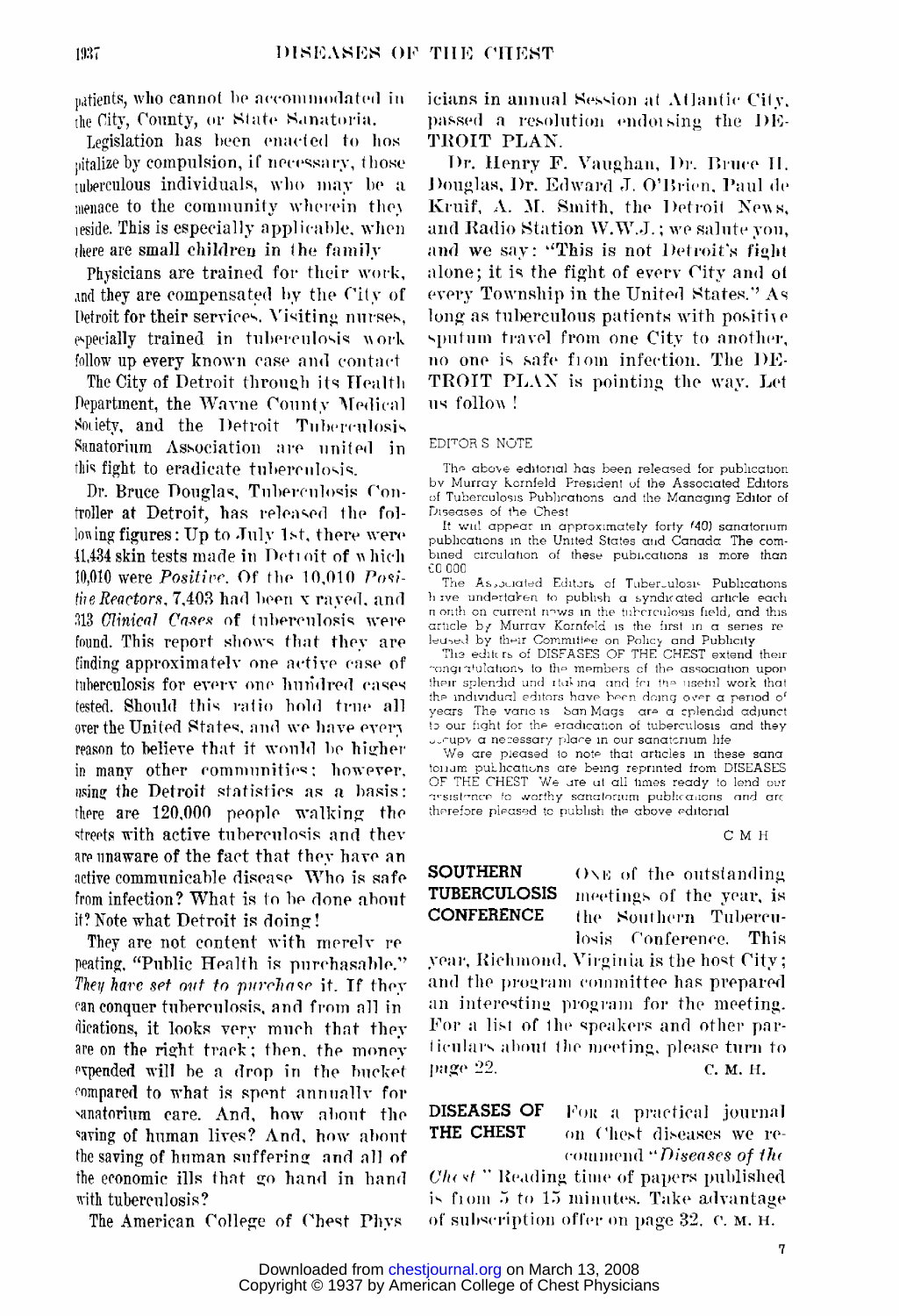reason to believe that it would be higher in many other communities : however,

using the Detroit statistics as a basis: there are 120.000 people walking the streets with active tuberculosis and they are unaware of the fact that they have an active communicable disease. Who is safe from infection? What is to be done about it? Note what Detroit is doing!

Dr. Bruce Douglas, Tuberculosis Controller at Detroit, has released the following figures: Up to July 1st, there were 11,434 skin tests madein Detroit of which 10,010 were Positive. Of the 10,010 Posithe Reactors, 7,403 had been x-rayed, and <sup>313</sup> Clinical Cases of tuberculosis were found. This report shows that they are finding approximately one active case of tuberculosis for every one hundred cases tested. Should this ratio hold true all over the United States, and we have every

patients, who cannot be accommodated in the City, County, or State Sanatoria. Legislation has been enacted to hospitalize by compulsion,if necessary, those tuberculous individuals, who may be a menace to the community wherein they reside. This is especially applicable, when there are small children in the family. Physicians are trained for their work, and they are compensated by the City of Detroit for their services. Visiting nurses, especially trained in tuberculosis work follow up every known case and contact. TheCity of Detroit through its Health Department, the Wayne County Medical Society, and the Detroit Tuberculosis Sanatorium Association are united in this fight to eradicate tuberculosis.

They are not content with merely repeating. "Public Health is purchasable." They have set out to purchase it. If they ean conquer tuberculosis,and from all indications, it looks very much that they are on the right track; then, the money expended will be a drop in the bucket compared to what is spent annually for sanatorium care. And, how about the saving of human lives? And, how about the saving of human suffering, and all of the economic ills that go hand in hand with tuberculosis?

The American College of Chest Phys

icians in annual Session at Atlantic City, passed a resolution endorsing the DE-TROIT PLAN.

Dr. Henry F. Vaughan, Dr. Bruce 11. Douglas,Dr.Edward J. O'Brien,Paul de Kruif, A. M. Smith, the Detroit News, and Radio Station W.W.J.; we salute you, and we say: "This is not Detroit's fight alone; it is the fight of every City and of every Township in the United States." As long as tuberculous patients with positive sputum travel from one City to another, no one is safe from infection. The DE-TROIT PLAN is pointing the way. Let us follow !

### EDITOR'S NOTE

The above editorial has been released for publication by Murray Kornfeld, President of the Associated Editors of Tuberculosis Publications, and the Managing Editor of Diseases of the Chest.

It will appear in approximately forty (40) sanatorium publications in the United States and Canada. The combined circulation of these publications is more than 60,000.

The Associated Editors of Tuberculosis Publications have undertaken to publish a syndicated article each month oncurrent news in the tuberculosis field, and this article by Murrav Kornfeld is the first in  $\alpha$  series re-

leased by their Committee on Policy and Publicity. The editors of DISFASES OF THE CHEST extend their congratulations to the members of the association upon their splendid undertaking, and for the useful work that the individual editors have been doing over a period of years. The various "San-Mags" are a splendid adjunct to our fight for the eradication of tuberculosis, and they occupy a necessary place in our sanatorium life.

We are pleased to note that articles in these sanatorium publications are being reprinted from DISEASES OF THE CHEST. We are at all times ready to lend our assistance to worthy sanatorium publications, and are therefore pleased to publish the above editorial.

C.M.H.

**SOUTHERN** ONE of the outstanding<br>**TUBERCULOSIS** meetings of the year, is **TUBERCULOSIS** meetings of the year, is<br>**CONFERENCE** the Southern Tubercuthe Southern Tuberculosis Conference. This

year, Richmond, Virginia is the host City; and the program committee has prepared an interesting program for the meeting. For a list of the speakers and other particulars about the meeting, please turn to page 22. **c.M.H.** 

### **DISEASES OF** FOR a practical journal<br>**THE CHEST** on Chest diseases we reon Chest diseases we recommend "Diseases of the

 $Check$ ." Reading time of papers published is from 5 to 15 minutes. Take advantage of subscription offer on page 32. c.M. h.